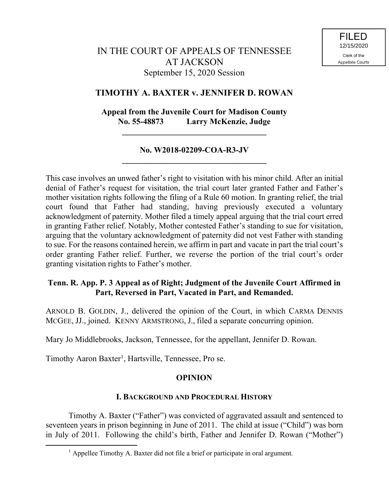## **TIMOTHY A. BAXTER v. JENNIFER D. ROWAN**

# **Appeal from the Juvenile Court for Madison County No. 55-48873 Larry McKenzie, Judge**

**\_\_\_\_\_\_\_\_\_\_\_\_\_\_\_\_\_\_\_\_\_\_\_\_\_\_\_\_\_\_\_\_\_\_\_**

## **No. W2018-02209-COA-R3-JV \_\_\_\_\_\_\_\_\_\_\_\_\_\_\_\_\_\_\_\_\_\_\_\_\_\_\_\_\_\_\_\_\_\_\_**

This case involves an unwed father's right to visitation with his minor child. After an initial denial of Father's request for visitation, the trial court later granted Father and Father's mother visitation rights following the filing of a Rule 60 motion. In granting relief, the trial court found that Father had standing, having previously executed a voluntary acknowledgment of paternity. Mother filed a timely appeal arguing that the trial court erred in granting Father relief. Notably, Mother contested Father's standing to sue for visitation, arguing that the voluntary acknowledgment of paternity did not vest Father with standing to sue. For the reasons contained herein, we affirm in part and vacate in part the trial court's order granting Father relief. Further, we reverse the portion of the trial court's order granting visitation rights to Father's mother.

## **Tenn. R. App. P. 3 Appeal as of Right; Judgment of the Juvenile Court Affirmed in Part, Reversed in Part, Vacated in Part, and Remanded.**

ARNOLD B. GOLDIN, J., delivered the opinion of the Court, in which CARMA DENNIS MCGEE, JJ., joined. KENNY ARMSTRONG, J., filed a separate concurring opinion.

Mary Jo Middlebrooks, Jackson, Tennessee, for the appellant, Jennifer D. Rowan.

Timothy Aaron Baxter<sup>1</sup>, Hartsville, Tennessee, Pro se.

 $\overline{a}$ 

## **OPINION**

## **I. BACKGROUND AND PROCEDURAL HISTORY**

Timothy A. Baxter ("Father") was convicted of aggravated assault and sentenced to seventeen years in prison beginning in June of 2011. The child at issue ("Child") was born in July of 2011. Following the child's birth, Father and Jennifer D. Rowan ("Mother")

 $<sup>1</sup>$  Appellee Timothy A. Baxter did not file a brief or participate in oral argument.</sup>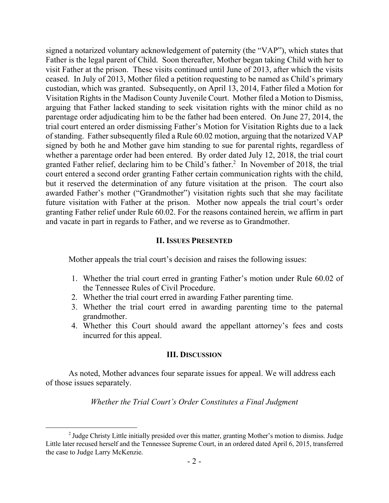signed a notarized voluntary acknowledgement of paternity (the "VAP"), which states that Father is the legal parent of Child. Soon thereafter, Mother began taking Child with her to visit Father at the prison. These visits continued until June of 2013, after which the visits ceased. In July of 2013, Mother filed a petition requesting to be named as Child's primary custodian, which was granted. Subsequently, on April 13, 2014, Father filed a Motion for Visitation Rights in the Madison County Juvenile Court. Mother filed a Motion to Dismiss, arguing that Father lacked standing to seek visitation rights with the minor child as no parentage order adjudicating him to be the father had been entered. On June 27, 2014, the trial court entered an order dismissing Father's Motion for Visitation Rights due to a lack of standing. Father subsequently filed a Rule 60.02 motion, arguing that the notarized VAP signed by both he and Mother gave him standing to sue for parental rights, regardless of whether a parentage order had been entered. By order dated July 12, 2018, the trial court granted Father relief, declaring him to be Child's father.<sup>2</sup> In November of 2018, the trial court entered a second order granting Father certain communication rights with the child, but it reserved the determination of any future visitation at the prison. The court also awarded Father's mother ("Grandmother") visitation rights such that she may facilitate future visitation with Father at the prison. Mother now appeals the trial court's order granting Father relief under Rule 60.02. For the reasons contained herein, we affirm in part and vacate in part in regards to Father, and we reverse as to Grandmother.

### **II. ISSUES PRESENTED**

Mother appeals the trial court's decision and raises the following issues:

- 1. Whether the trial court erred in granting Father's motion under Rule 60.02 of the Tennessee Rules of Civil Procedure.
- 2. Whether the trial court erred in awarding Father parenting time.
- 3. Whether the trial court erred in awarding parenting time to the paternal grandmother.
- 4. Whether this Court should award the appellant attorney's fees and costs incurred for this appeal.

#### **III. DISCUSSION**

As noted, Mother advances four separate issues for appeal. We will address each of those issues separately.

*Whether the Trial Court's Order Constitutes a Final Judgment* 

 $\overline{a}$ 

<sup>&</sup>lt;sup>2</sup> Judge Christy Little initially presided over this matter, granting Mother's motion to dismiss. Judge Little later recused herself and the Tennessee Supreme Court, in an ordered dated April 6, 2015, transferred the case to Judge Larry McKenzie.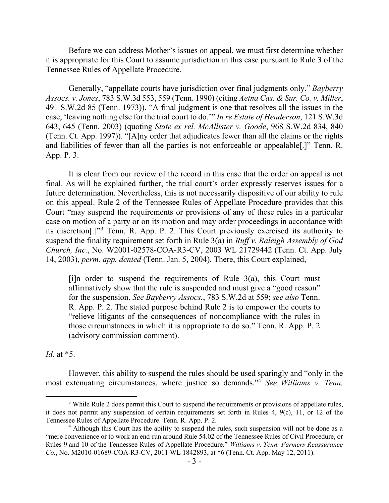Before we can address Mother's issues on appeal, we must first determine whether it is appropriate for this Court to assume jurisdiction in this case pursuant to Rule 3 of the Tennessee Rules of Appellate Procedure.

Generally, "appellate courts have jurisdiction over final judgments only." *Bayberry Assocs. v. Jones*, 783 S.W.3d 553, 559 (Tenn. 1990) (citing *Aetna Cas. & Sur. Co. v. Miller*, 491 S.W.2d 85 (Tenn. 1973)). "A final judgment is one that resolves all the issues in the case, 'leaving nothing else for the trial court to do.'" *In re Estate of Henderson*, 121 S.W.3d 643, 645 (Tenn. 2003) (quoting *State ex rel. McAllister v. Goode*, 968 S.W.2d 834, 840 (Tenn. Ct. App. 1997)). "[A]ny order that adjudicates fewer than all the claims or the rights and liabilities of fewer than all the parties is not enforceable or appealable[.]" Tenn. R. App. P. 3.

It is clear from our review of the record in this case that the order on appeal is not final. As will be explained further, the trial court's order expressly reserves issues for a future determination. Nevertheless, this is not necessarily dispositive of our ability to rule on this appeal. Rule 2 of the Tennessee Rules of Appellate Procedure provides that this Court "may suspend the requirements or provisions of any of these rules in a particular case on motion of a party or on its motion and may order proceedings in accordance with its discretion[.]"<sup>3</sup> Tenn. R. App. P. 2. This Court previously exercised its authority to suspend the finality requirement set forth in Rule 3(a) in *Ruff v. Raleigh Assembly of God Church, Inc.*, No. W2001-02578-COA-R3-CV, 2003 WL 21729442 (Tenn. Ct. App. July 14, 2003), *perm. app. denied* (Tenn. Jan. 5, 2004). There, this Court explained,

[i]n order to suspend the requirements of Rule  $3(a)$ , this Court must affirmatively show that the rule is suspended and must give a "good reason" for the suspension. *See Bayberry Assocs.*, 783 S.W.2d at 559; *see also* Tenn. R. App. P. 2. The stated purpose behind Rule 2 is to empower the courts to "relieve litigants of the consequences of noncompliance with the rules in those circumstances in which it is appropriate to do so." Tenn. R. App. P. 2 (advisory commission comment).

*Id*. at \*5.

However, this ability to suspend the rules should be used sparingly and "only in the most extenuating circumstances, where justice so demands."<sup>4</sup> *See Williams v. Tenn.* 

<sup>&</sup>lt;sup>3</sup> While Rule 2 does permit this Court to suspend the requirements or provisions of appellate rules, it does not permit any suspension of certain requirements set forth in Rules 4, 9(c), 11, or 12 of the Tennessee Rules of Appellate Procedure. Tenn. R. App. P. 2.

 $4$  Although this Court has the ability to suspend the rules, such suspension will not be done as a "mere convenience or to work an end-run around Rule 54.02 of the Tennessee Rules of Civil Procedure, or Rules 9 and 10 of the Tennessee Rules of Appellate Procedure." *Williams v. Tenn. Farmers Reassurance Co.*, No. M2010-01689-COA-R3-CV, 2011 WL 1842893, at \*6 (Tenn. Ct. App. May 12, 2011).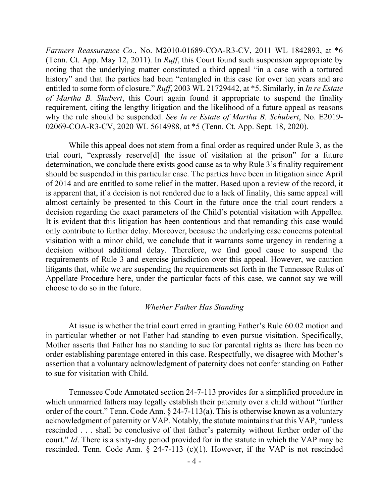*Farmers Reassurance Co.*, No. M2010-01689-COA-R3-CV, 2011 WL 1842893, at \*6 (Tenn. Ct. App. May 12, 2011). In *Ruff*, this Court found such suspension appropriate by noting that the underlying matter constituted a third appeal "in a case with a tortured history" and that the parties had been "entangled in this case for over ten years and are entitled to some form of closure." *Ruff*, 2003 WL 21729442, at \*5. Similarly, in *In re Estate of Martha B. Shubert*, this Court again found it appropriate to suspend the finality requirement, citing the lengthy litigation and the likelihood of a future appeal as reasons why the rule should be suspended. *See In re Estate of Martha B. Schubert*, No. E2019- 02069-COA-R3-CV, 2020 WL 5614988, at \*5 (Tenn. Ct. App. Sept. 18, 2020).

While this appeal does not stem from a final order as required under Rule 3, as the trial court, "expressly reserve[d] the issue of visitation at the prison" for a future determination, we conclude there exists good cause as to why Rule 3's finality requirement should be suspended in this particular case. The parties have been in litigation since April of 2014 and are entitled to some relief in the matter. Based upon a review of the record, it is apparent that, if a decision is not rendered due to a lack of finality, this same appeal will almost certainly be presented to this Court in the future once the trial court renders a decision regarding the exact parameters of the Child's potential visitation with Appellee. It is evident that this litigation has been contentious and that remanding this case would only contribute to further delay. Moreover, because the underlying case concerns potential visitation with a minor child, we conclude that it warrants some urgency in rendering a decision without additional delay. Therefore, we find good cause to suspend the requirements of Rule 3 and exercise jurisdiction over this appeal. However, we caution litigants that, while we are suspending the requirements set forth in the Tennessee Rules of Appellate Procedure here, under the particular facts of this case, we cannot say we will choose to do so in the future.

#### *Whether Father Has Standing*

At issue is whether the trial court erred in granting Father's Rule 60.02 motion and in particular whether or not Father had standing to even pursue visitation. Specifically, Mother asserts that Father has no standing to sue for parental rights as there has been no order establishing parentage entered in this case. Respectfully, we disagree with Mother's assertion that a voluntary acknowledgment of paternity does not confer standing on Father to sue for visitation with Child.

Tennessee Code Annotated section 24-7-113 provides for a simplified procedure in which unmarried fathers may legally establish their paternity over a child without "further order of the court." Tenn. Code Ann. § 24-7-113(a). This is otherwise known as a voluntary acknowledgment of paternity or VAP. Notably, the statute maintains that this VAP, "unless rescinded . . . shall be conclusive of that father's paternity without further order of the court." *Id*. There is a sixty-day period provided for in the statute in which the VAP may be rescinded. Tenn. Code Ann. § 24-7-113 (c)(1). However, if the VAP is not rescinded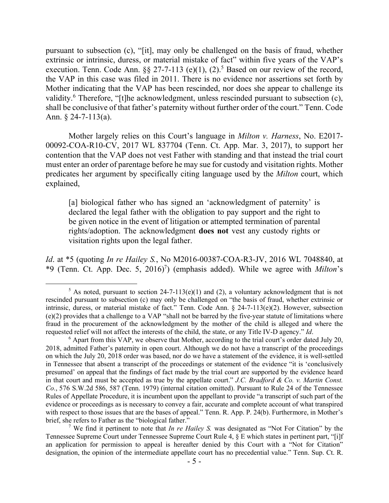pursuant to subsection (c), "[it], may only be challenged on the basis of fraud, whether extrinsic or intrinsic, duress, or material mistake of fact" within five years of the VAP's execution. Tenn. Code Ann.  $\S\S 27$ -7-113 (e)(1), (2).<sup>5</sup> Based on our review of the record, the VAP in this case was filed in 2011. There is no evidence nor assertions set forth by Mother indicating that the VAP has been rescinded, nor does she appear to challenge its validity.<sup>6</sup> Therefore, "[t]he acknowledgment, unless rescinded pursuant to subsection (c), shall be conclusive of that father's paternity without further order of the court." Tenn. Code Ann. § 24-7-113(a).

Mother largely relies on this Court's language in *Milton v. Harness*, No. E2017- 00092-COA-R10-CV, 2017 WL 837704 (Tenn. Ct. App. Mar. 3, 2017), to support her contention that the VAP does not vest Father with standing and that instead the trial court must enter an order of parentage before he may sue for custody and visitation rights. Mother predicates her argument by specifically citing language used by the *Milton* court, which explained,

[a] biological father who has signed an 'acknowledgment of paternity' is declared the legal father with the obligation to pay support and the right to be given notice in the event of litigation or attempted termination of parental rights/adoption. The acknowledgment **does not** vest any custody rights or visitation rights upon the legal father.

*Id*. at \*5 (quoting *In re Hailey S.*, No M2016-00387-COA-R3-JV, 2016 WL 7048840, at \*9 (Tenn. Ct. App. Dec. 5, 2016)<sup>7</sup> ) (emphasis added). While we agree with *Milton*'s

 $\overline{a}$ 

<sup>7</sup> We find it pertinent to note that *In re Hailey S.* was designated as "Not For Citation" by the Tennessee Supreme Court under Tennessee Supreme Court Rule 4, § E which states in pertinent part, "[i]f an application for permission to appeal is hereafter denied by this Court with a "Not for Citation" designation, the opinion of the intermediate appellate court has no precedential value." Tenn. Sup. Ct. R.

<sup>&</sup>lt;sup>5</sup> As noted, pursuant to section 24-7-113(e)(1) and (2), a voluntary acknowledgment that is not rescinded pursuant to subsection (c) may only be challenged on "the basis of fraud, whether extrinsic or intrinsic, duress, or material mistake of fact." Tenn. Code Ann. § 24-7-113(e)(2). However, subsection (e)(2) provides that a challenge to a VAP "shall not be barred by the five-year statute of limitations where fraud in the procurement of the acknowledgment by the mother of the child is alleged and where the requested relief will not affect the interests of the child, the state, or any Title IV-D agency." *Id*.

 $6$  Apart from this VAP, we observe that Mother, according to the trial court's order dated July 20, 2018, admitted Father's paternity in open court. Although we do not have a transcript of the proceedings on which the July 20, 2018 order was based, nor do we have a statement of the evidence, it is well-settled in Tennessee that absent a transcript of the proceedings or statement of the evidence "it is 'conclusively presumed' on appeal that the findings of fact made by the trial court are supported by the evidence heard in that court and must be accepted as true by the appellate court." *J.C. Bradford & Co. v. Martin Const. Co.*, 576 S.W.2d 586, 587 (Tenn. 1979) (internal citation omitted). Pursuant to Rule 24 of the Tennessee Rules of Appellate Procedure, it is incumbent upon the appellant to provide "a transcript of such part of the evidence or proceedings as is necessary to convey a fair, accurate and complete account of what transpired with respect to those issues that are the bases of appeal." Tenn. R. App. P. 24(b). Furthermore, in Mother's brief, she refers to Father as the "biological father."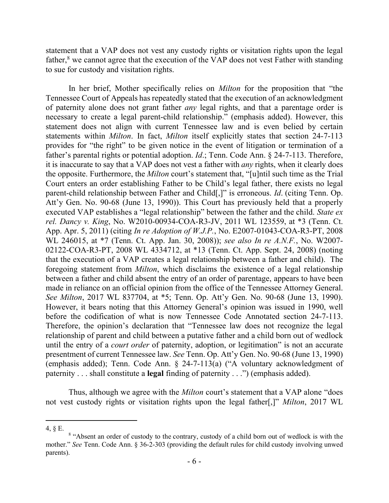statement that a VAP does not vest any custody rights or visitation rights upon the legal father,<sup>8</sup> we cannot agree that the execution of the VAP does not vest Father with standing to sue for custody and visitation rights.

In her brief, Mother specifically relies on *Milton* for the proposition that "the Tennessee Court of Appeals has repeatedly stated that the execution of an acknowledgment of paternity alone does not grant father *any* legal rights, and that a parentage order is necessary to create a legal parent-child relationship." (emphasis added). However, this statement does not align with current Tennessee law and is even belied by certain statements within *Milton*. In fact, *Milton* itself explicitly states that section 24-7-113 provides for "the right" to be given notice in the event of litigation or termination of a father's parental rights or potential adoption. *Id*.; Tenn. Code Ann. § 24-7-113. Therefore, it is inaccurate to say that a VAP does not vest a father with *any* rights, when it clearly does the opposite. Furthermore, the *Milton* court's statement that, "[u]ntil such time as the Trial Court enters an order establishing Father to be Child's legal father, there exists no legal parent-child relationship between Father and Child[,]" is erroneous. *Id*. (citing Tenn. Op. Att'y Gen. No. 90-68 (June 13, 1990)). This Court has previously held that a properly executed VAP establishes a "legal relationship" between the father and the child. *State ex rel. Dancy v. King*, No. W2010-00934-COA-R3-JV, 2011 WL 123559, at \*3 (Tenn. Ct. App. Apr. 5, 2011) (citing *In re Adoption of W.J.P.*, No. E2007-01043-COA-R3-PT, 2008 WL 246015, at \*7 (Tenn. Ct. App. Jan. 30, 2008)); *see also In re A.N.F.*, No. W2007- 02122-COA-R3-PT, 2008 WL 4334712, at \*13 (Tenn. Ct. App. Sept. 24, 2008) (noting that the execution of a VAP creates a legal relationship between a father and child). The foregoing statement from *Milton*, which disclaims the existence of a legal relationship between a father and child absent the entry of an order of parentage, appears to have been made in reliance on an official opinion from the office of the Tennessee Attorney General. *See Milton*, 2017 WL 837704, at \*5; Tenn. Op. Att'y Gen. No. 90-68 (June 13, 1990). However, it bears noting that this Attorney General's opinion was issued in 1990, well before the codification of what is now Tennessee Code Annotated section 24-7-113. Therefore, the opinion's declaration that "Tennessee law does not recognize the legal relationship of parent and child between a putative father and a child born out of wedlock until the entry of a *court order* of paternity, adoption, or legitimation" is not an accurate presentment of current Tennessee law. *See* Tenn. Op. Att'y Gen. No. 90-68 (June 13, 1990) (emphasis added); Tenn. Code Ann. § 24-7-113(a) ("A voluntary acknowledgment of paternity . . . shall constitute a **legal** finding of paternity . . .") (emphasis added).

Thus, although we agree with the *Milton* court's statement that a VAP alone "does not vest custody rights or visitation rights upon the legal father[,]" *Milton*, 2017 WL

<sup>4, §</sup> E.

<sup>&</sup>lt;sup>8</sup> "Absent an order of custody to the contrary, custody of a child born out of wedlock is with the mother." *See* Tenn. Code Ann. § 36-2-303 (providing the default rules for child custody involving unwed parents).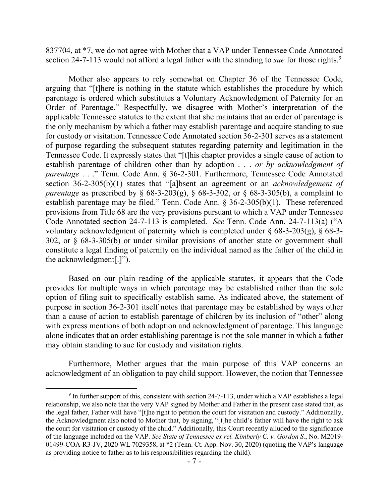837704, at \*7, we do not agree with Mother that a VAP under Tennessee Code Annotated section 24-7-113 would not afford a legal father with the standing to *sue* for those rights.<sup>9</sup>

Mother also appears to rely somewhat on Chapter 36 of the Tennessee Code, arguing that "[t]here is nothing in the statute which establishes the procedure by which parentage is ordered which substitutes a Voluntary Acknowledgment of Paternity for an Order of Parentage." Respectfully, we disagree with Mother's interpretation of the applicable Tennessee statutes to the extent that she maintains that an order of parentage is the only mechanism by which a father may establish parentage and acquire standing to sue for custody or visitation. Tennessee Code Annotated section 36-2-301 serves as a statement of purpose regarding the subsequent statutes regarding paternity and legitimation in the Tennessee Code. It expressly states that "[t]his chapter provides a single cause of action to establish parentage of children other than by adoption . . . *or by acknowledgment of parentage* . . ." Tenn. Code Ann. § 36-2-301. Furthermore, Tennessee Code Annotated section 36-2-305(b)(1) states that "[a]bsent an agreement or an *acknowledgement of parentage* as prescribed by § 68-3-203(g), § 68-3-302, or § 68-3-305(b), a complaint to establish parentage may be filed." Tenn. Code Ann. § 36-2-305(b)(1). These referenced provisions from Title 68 are the very provisions pursuant to which a VAP under Tennessee Code Annotated section 24-7-113 is completed. *See* Tenn. Code Ann. 24-7-113(a) ("A voluntary acknowledgment of paternity which is completed under  $\S$  68-3-203(g),  $\S$  68-3-302, or § 68-3-305(b) or under similar provisions of another state or government shall constitute a legal finding of paternity on the individual named as the father of the child in the acknowledgment[.]").

Based on our plain reading of the applicable statutes, it appears that the Code provides for multiple ways in which parentage may be established rather than the sole option of filing suit to specifically establish same. As indicated above, the statement of purpose in section 36-2-301 itself notes that parentage may be established by ways other than a cause of action to establish parentage of children by its inclusion of "other" along with express mentions of both adoption and acknowledgment of parentage. This language alone indicates that an order establishing parentage is not the sole manner in which a father may obtain standing to sue for custody and visitation rights.

Furthermore, Mother argues that the main purpose of this VAP concerns an acknowledgment of an obligation to pay child support. However, the notion that Tennessee

 $\overline{a}$ 

 $9 \text{ In further support of this, consistent with section 24-7-113, under which a VAP establishes a legal.}$ relationship, we also note that the very VAP signed by Mother and Father in the present case stated that, as the legal father, Father will have "[t]he right to petition the court for visitation and custody." Additionally, the Acknowledgment also noted to Mother that, by signing, "[t]he child's father will have the right to ask the court for visitation or custody of the child." Additionally, this Court recently alluded to the significance of the language included on the VAP. *See State of Tennessee ex rel. Kimberly C. v. Gordon S.*, No. M2019- 01499-COA-R3-JV, 2020 WL 7029358, at \*2 (Tenn. Ct. App. Nov. 30, 2020) (quoting the VAP's language as providing notice to father as to his responsibilities regarding the child).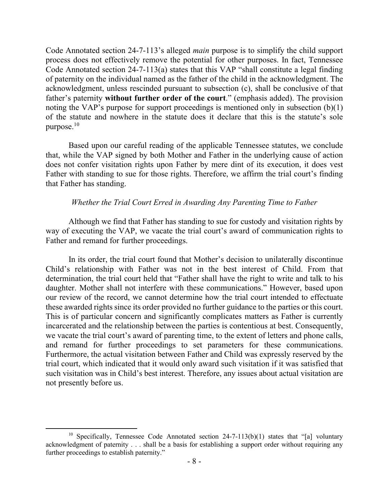Code Annotated section 24-7-113's alleged *main* purpose is to simplify the child support process does not effectively remove the potential for other purposes. In fact, Tennessee Code Annotated section 24-7-113(a) states that this VAP "shall constitute a legal finding of paternity on the individual named as the father of the child in the acknowledgment. The acknowledgment, unless rescinded pursuant to subsection (c), shall be conclusive of that father's paternity **without further order of the court**." (emphasis added). The provision noting the VAP's purpose for support proceedings is mentioned only in subsection (b)(1) of the statute and nowhere in the statute does it declare that this is the statute's sole purpose.<sup>10</sup>

Based upon our careful reading of the applicable Tennessee statutes, we conclude that, while the VAP signed by both Mother and Father in the underlying cause of action does not confer visitation rights upon Father by mere dint of its execution, it does vest Father with standing to sue for those rights. Therefore, we affirm the trial court's finding that Father has standing.

#### *Whether the Trial Court Erred in Awarding Any Parenting Time to Father*

Although we find that Father has standing to sue for custody and visitation rights by way of executing the VAP, we vacate the trial court's award of communication rights to Father and remand for further proceedings.

In its order, the trial court found that Mother's decision to unilaterally discontinue Child's relationship with Father was not in the best interest of Child. From that determination, the trial court held that "Father shall have the right to write and talk to his daughter. Mother shall not interfere with these communications." However, based upon our review of the record, we cannot determine how the trial court intended to effectuate these awarded rights since its order provided no further guidance to the parties or this court. This is of particular concern and significantly complicates matters as Father is currently incarcerated and the relationship between the parties is contentious at best. Consequently, we vacate the trial court's award of parenting time, to the extent of letters and phone calls, and remand for further proceedings to set parameters for these communications. Furthermore, the actual visitation between Father and Child was expressly reserved by the trial court, which indicated that it would only award such visitation if it was satisfied that such visitation was in Child's best interest. Therefore, any issues about actual visitation are not presently before us.

<sup>&</sup>lt;sup>10</sup> Specifically, Tennessee Code Annotated section  $24-7-113(b)(1)$  states that "[a] voluntary acknowledgment of paternity . . . shall be a basis for establishing a support order without requiring any further proceedings to establish paternity."